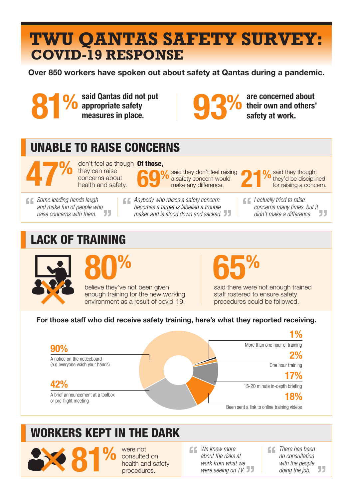# **COVID-19 RESPONSE TWU QANTAS SAFETY SURVEY:**

Over 850 workers have spoken out about safety at Qantas during a pandemic.

said Qantas did not put appropriate safety<br>measures in place. %



are concerned about their own and others'<br>safety at work.

### UNABLE TO RAISE CONCERNS

**concerns** about<br>the 47 health and safety.

**Of those,**<br>
they can raise<br> **Computed they don't feel raising<br>
Of said they thought<br>
of the raising<br>
Of said they thought<br>
of the raising<br>
of the raising<br>
of the raising<br>
of the raising<br>
of the raising<br>
of the raising<br>
of** they can raise<br>concerns about



said they don't feel raising a safety concern would<br>make any difference. %



said they thought<br>they'd be disciplined<br>for raising a concern.

*Some leading hands laugh and make fun of people who raise concerns with them.* *Anybody who raises a safety concern becomes a target is labelled a trouble maker and is stood down and sacked.* *I actually tried to raise concerns many times, but it didn't make a difference.*

#### LACK OF TRAINING





believe they've not been given enough training for the new working environment as a result of covid-19. 65%

said there were not enough trained staff rostered to ensure safety procedures could be followed.

#### For those staff who did receive safety training, here's what they reported receiving.



#### WORKERS KEPT IN THE DARK



were not consulted on health and safety<br>procedures. *We knew more about the risks at work from what we were seeing on TV.*

*There has been no consultation with the people doing the job.*55